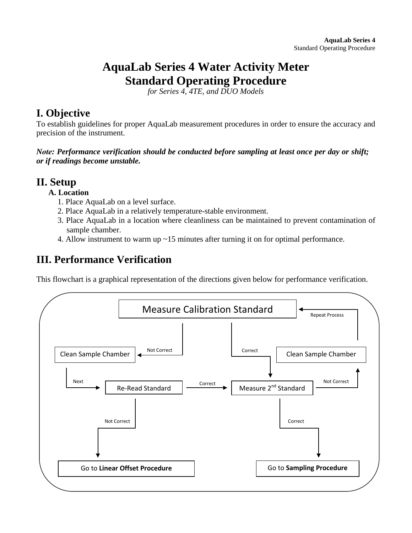# **AquaLab Series 4 Water Activity Meter Standard Operating Procedure**

*for Series 4, 4TE, and DUO Models* 

# **I. Objective**

To establish guidelines for proper AquaLab measurement procedures in order to ensure the accuracy and precision of the instrument.

*Note: Performance verification should be conducted before sampling at least once per day or shift; or if readings become unstable.* 

### **II. Setup**

### **A. Location**

- 1. Place AquaLab on a level surface.
- 2. Place AquaLab in a relatively temperature-stable environment.
- 3. Place AquaLab in a location where cleanliness can be maintained to prevent contamination of sample chamber.
- 4. Allow instrument to warm up ~15 minutes after turning it on for optimal performance.

# **III. Performance Verification**

This flowchart is a graphical representation of the directions given below for performance verification.

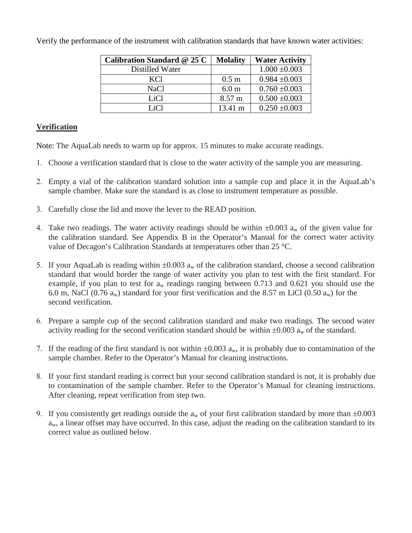| Calibration Standard @ $25^{\circ}$ C | <b>Molality</b>  | <b>Water Activity</b> |
|---------------------------------------|------------------|-----------------------|
| Distilled Water                       |                  | $1.000 \pm 0.003$     |
| KC <sub>1</sub>                       | 0.5 <sub>m</sub> | $0.984 \pm 0.003$     |
| NaCl                                  | 6.0 <sub>m</sub> | $0.760 \pm 0.003$     |
| LiC <sub>1</sub>                      | 8.57 m           | $0.500 \pm 0.003$     |
| LiCl                                  | 13.41 m          | $0.250 \pm 0.003$     |

Verify the performance of the instrument with calibration standards that have known water activities:

### **Verification**

Note: The AquaLab needs to warm up for approx. 15 minutes to make accurate readings.

- 1. Choose a verification standard that is close to the water activity of the sample you are measuring.
- 2. Empty a vial of the calibration standard solution into a sample cup and place it in the AquaLab's sample chamber. Make sure the standard is as close to instrument temperature as possible.
- 3. Carefully close the lid and move the lever to the READ position.
- 4. Take two readings. The water activity readings should be within  $\pm 0.003$  a<sub>w</sub> of the given value for the calibration standard. See Appendix B in the Operator's Manual for the correct water activity value of Decagon's Calibration Standards at temperatures other than 25 °C.
- 5. If your AquaLab is reading within  $\pm 0.003$  a<sub>w</sub> of the calibration standard, choose a second calibration standard that would border the range of water activity you plan to test with the first standard. For example, if you plan to test for  $a_w$  readings ranging between 0.713 and 0.621 you should use the 6.0 m, NaCl (0.76  $a_w$ ) standard for your first verification and the 8.57 m LiCl (0.50  $a_w$ ) for the second verification.
- 6. Prepare a sample cup of the second calibration standard and make two readings. The second water activity reading for the second verification standard should be within  $\pm 0.003$  a<sub>w</sub> of the standard.
- 7. If the reading of the first standard is not within  $\pm 0.003$  a<sub>w</sub>, it is probably due to contamination of the sample chamber. Refer to the Operator's Manual for cleaning instructions.
- 8. If your first standard reading is correct but your second calibration standard is not, it is probably due to contamination of the sample chamber. Refer to the Operator's Manual for cleaning instructions. After cleaning, repeat verification from step two.
- 9. If you consistently get readings outside the  $a_w$  of your first calibration standard by more than  $\pm 0.003$  $a<sub>w</sub>$ , a linear offset may have occurred. In this case, adjust the reading on the calibration standard to its correct value as outlined below.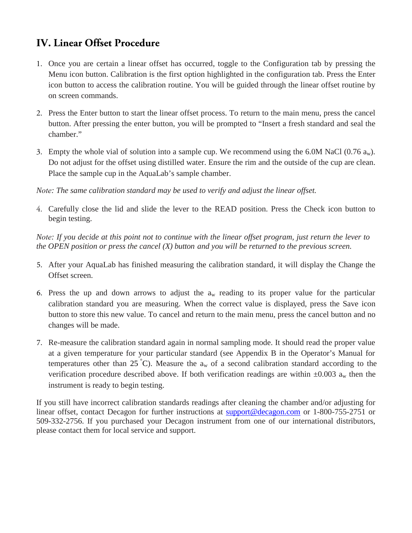# **IV. Linear Offset Procedure**

- 1. Once you are certain a linear offset has occurred, toggle to the Configuration tab by pressing the Menu icon button. Calibration is the first option highlighted in the configuration tab. Press the Enter icon button to access the calibration routine. You will be guided through the linear offset routine by on screen commands.
- 2. Press the Enter button to start the linear offset process. To return to the main menu, press the cancel button. After pressing the enter button, you will be prompted to "Insert a fresh standard and seal the chamber."
- 3. Empty the whole vial of solution into a sample cup. We recommend using the 6.0M NaCl (0.76  $a_w$ ). Do not adjust for the offset using distilled water. Ensure the rim and the outside of the cup are clean. Place the sample cup in the AquaLab's sample chamber.

*Note: The same calibration standard may be used to verify and adjust the linear offset.*

4. Carefully close the lid and slide the lever to the READ position. Press the Check icon button to begin testing.

*Note: If you decide at this point not to continue with the linear offset program, just return the lever to the OPEN position or press the cancel (X) button and you will be returned to the previous screen.*

- 5. After your AquaLab has finished measuring the calibration standard, it will display the Change the Offset screen.
- 6. Press the up and down arrows to adjust the  $a_w$  reading to its proper value for the particular calibration standard you are measuring. When the correct value is displayed, press the Save icon button to store this new value. To cancel and return to the main menu, press the cancel button and no changes will be made.
- 7. Re-measure the calibration standard again in normal sampling mode. It should read the proper value at a given temperature for your particular standard (see Appendix B in the Operator's Manual for temperatures other than 25 °C). Measure the  $a_w$  of a second calibration standard according to the verification procedure described above. If both verification readings are within  $\pm 0.003$  a<sub>w</sub> then the instrument is ready to begin testing.

If you still have incorrect calibration standards readings after cleaning the chamber and/or adjusting for linear offset, contact Decagon for further instructions at [support@decagon.com](mailto:support@decagon.com) or 1-800-755-2751 or 509-332-2756. If you purchased your Decagon instrument from one of our international distributors, please contact them for local service and support.